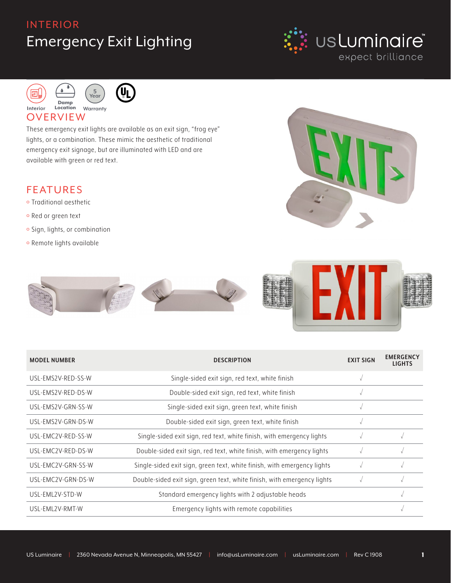# INTERIOR Emergency Exit Lighting







#### **OVERVIEW**

These emergency exit lights are available as an exit sign, "frog eye" lights, or a combination. These mimic the aesthetic of traditional emergency exit signage, but are illuminated with LED and are available with green or red text.

#### FEATURES

- o Traditional aesthetic
- o Red or green text
- o Sign, lights, or combination
- o Remote lights available





| <b>MODEL NUMBER</b> | <b>DESCRIPTION</b>                                                      | <b>EXIT SIGN</b> | <b>EMERGENCY</b><br><b>LIGHTS</b> |
|---------------------|-------------------------------------------------------------------------|------------------|-----------------------------------|
| USL-EMS2V-RED-SS-W  | Single-sided exit sign, red text, white finish                          |                  |                                   |
| USL-EMS2V-RED-DS-W  | Double-sided exit sign, red text, white finish                          |                  |                                   |
| USL-EMS2V-GRN-SS-W  | Single-sided exit sign, green text, white finish                        |                  |                                   |
| USL-EMS2V-GRN-DS-W  | Double-sided exit sign, green text, white finish                        |                  |                                   |
| USL-EMC2V-RED-SS-W  | Single-sided exit sign, red text, white finish, with emergency lights   |                  |                                   |
| USL-EMC2V-RED-DS-W  | Double-sided exit sign, red text, white finish, with emergency lights   |                  |                                   |
| USL-EMC2V-GRN-SS-W  | Single-sided exit sign, green text, white finish, with emergency lights |                  |                                   |
| USL-EMC2V-GRN-DS-W  | Double-sided exit sign, green text, white finish, with emergency lights |                  |                                   |
| USI-FMI 2V-STD-W    | Standard emergency lights with 2 adjustable heads                       |                  |                                   |
| USL-EML2V-RMT-W     | Emergency lights with remote capabilities                               |                  | $\sqrt{ }$                        |